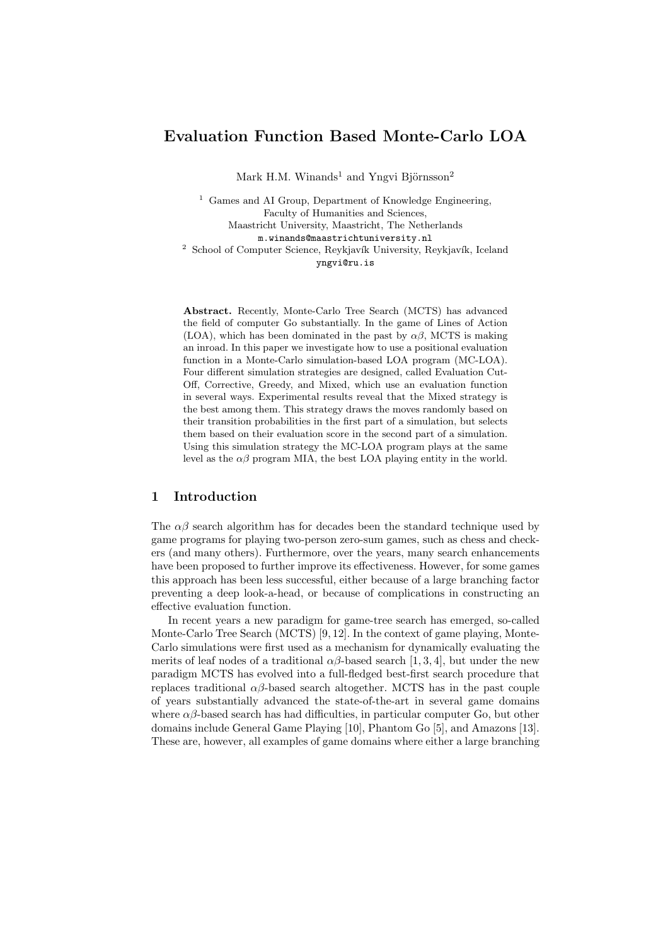# Evaluation Function Based Monte-Carlo LOA

Mark H.M. Winands<sup>1</sup> and Yngvi Björnsson<sup>2</sup>

<sup>1</sup> Games and AI Group, Department of Knowledge Engineering, Faculty of Humanities and Sciences, Maastricht University, Maastricht, The Netherlands m.winands@maastrichtuniversity.nl <sup>2</sup> School of Computer Science, Reykjavík University, Reykjavík, Iceland yngvi@ru.is

Abstract. Recently, Monte-Carlo Tree Search (MCTS) has advanced the field of computer Go substantially. In the game of Lines of Action (LOA), which has been dominated in the past by  $\alpha\beta$ , MCTS is making an inroad. In this paper we investigate how to use a positional evaluation function in a Monte-Carlo simulation-based LOA program (MC-LOA). Four different simulation strategies are designed, called Evaluation Cut-Off, Corrective, Greedy, and Mixed, which use an evaluation function in several ways. Experimental results reveal that the Mixed strategy is the best among them. This strategy draws the moves randomly based on their transition probabilities in the first part of a simulation, but selects them based on their evaluation score in the second part of a simulation. Using this simulation strategy the MC-LOA program plays at the same level as the  $\alpha\beta$  program MIA, the best LOA playing entity in the world.

# 1 Introduction

The  $\alpha\beta$  search algorithm has for decades been the standard technique used by game programs for playing two-person zero-sum games, such as chess and checkers (and many others). Furthermore, over the years, many search enhancements have been proposed to further improve its effectiveness. However, for some games this approach has been less successful, either because of a large branching factor preventing a deep look-a-head, or because of complications in constructing an effective evaluation function.

In recent years a new paradigm for game-tree search has emerged, so-called Monte-Carlo Tree Search (MCTS) [9, 12]. In the context of game playing, Monte-Carlo simulations were first used as a mechanism for dynamically evaluating the merits of leaf nodes of a traditional  $\alpha\beta$ -based search [1, 3, 4], but under the new paradigm MCTS has evolved into a full-fledged best-first search procedure that replaces traditional αβ-based search altogether. MCTS has in the past couple of years substantially advanced the state-of-the-art in several game domains where  $\alpha\beta$ -based search has had difficulties, in particular computer Go, but other domains include General Game Playing [10], Phantom Go [5], and Amazons [13]. These are, however, all examples of game domains where either a large branching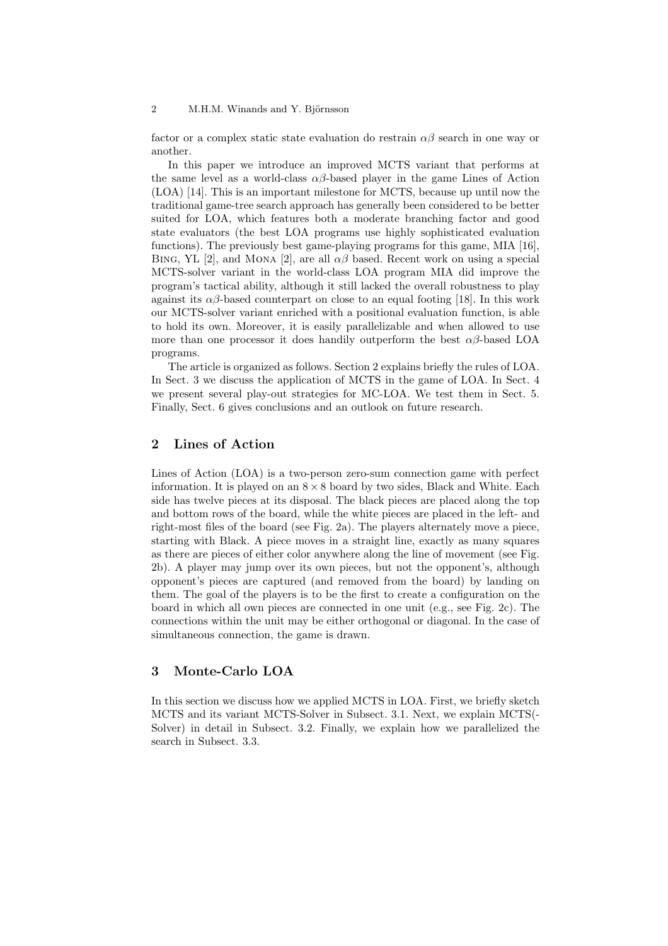factor or a complex static state evaluation do restrain  $\alpha\beta$  search in one way or another.

In this paper we introduce an improved MCTS variant that performs at the same level as a world-class  $\alpha\beta$ -based player in the game Lines of Action (LOA) [14]. This is an important milestone for MCTS, because up until now the traditional game-tree search approach has generally been considered to be better suited for LOA, which features both a moderate branching factor and good state evaluators (the best LOA programs use highly sophisticated evaluation functions). The previously best game-playing programs for this game, MIA [16], BING, YL [2], and MONA [2], are all  $\alpha\beta$  based. Recent work on using a special MCTS-solver variant in the world-class LOA program MIA did improve the program's tactical ability, although it still lacked the overall robustness to play against its  $\alpha\beta$ -based counterpart on close to an equal footing [18]. In this work our MCTS-solver variant enriched with a positional evaluation function, is able to hold its own. Moreover, it is easily parallelizable and when allowed to use more than one processor it does handily outperform the best  $\alpha\beta$ -based LOA programs.

The article is organized as follows. Section 2 explains briefly the rules of LOA. In Sect. 3 we discuss the application of MCTS in the game of LOA. In Sect. 4 we present several play-out strategies for MC-LOA. We test them in Sect. 5. Finally, Sect. 6 gives conclusions and an outlook on future research.

# 2 Lines of Action

Lines of Action (LOA) is a two-person zero-sum connection game with perfect information. It is played on an  $8 \times 8$  board by two sides, Black and White. Each side has twelve pieces at its disposal. The black pieces are placed along the top and bottom rows of the board, while the white pieces are placed in the left- and right-most files of the board (see Fig. 2a). The players alternately move a piece, starting with Black. A piece moves in a straight line, exactly as many squares as there are pieces of either color anywhere along the line of movement (see Fig. 2b). A player may jump over its own pieces, but not the opponent's, although opponent's pieces are captured (and removed from the board) by landing on them. The goal of the players is to be the first to create a configuration on the board in which all own pieces are connected in one unit (e.g., see Fig. 2c). The connections within the unit may be either orthogonal or diagonal. In the case of simultaneous connection, the game is drawn.

# 3 Monte-Carlo LOA

In this section we discuss how we applied MCTS in LOA. First, we briefly sketch MCTS and its variant MCTS-Solver in Subsect. 3.1. Next, we explain MCTS(- Solver) in detail in Subsect. 3.2. Finally, we explain how we parallelized the search in Subsect. 3.3.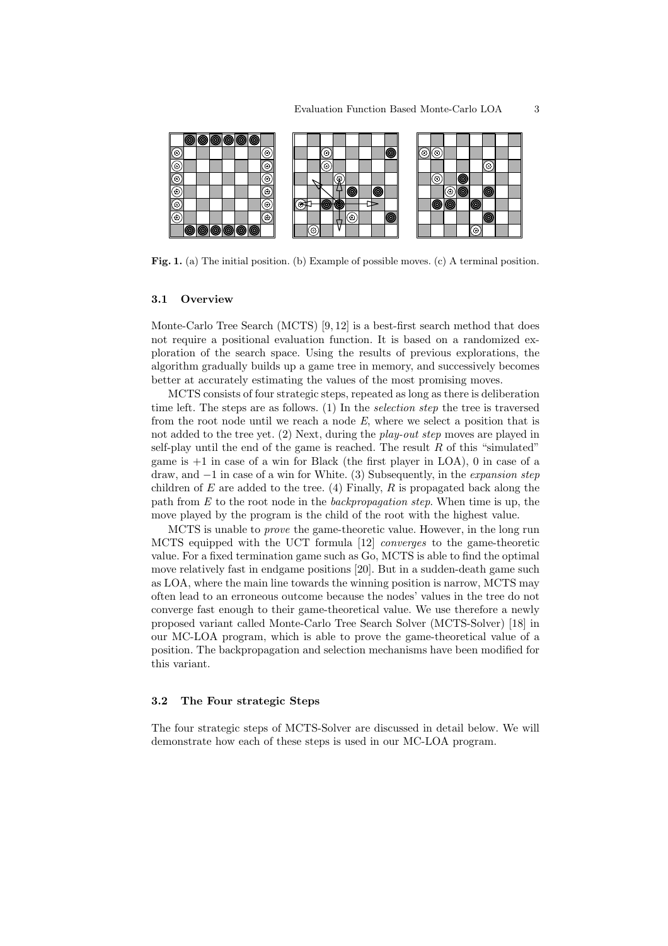

Fig. 1. (a) The initial position. (b) Example of possible moves. (c) A terminal position.

#### 3.1 Overview

Monte-Carlo Tree Search (MCTS) [9, 12] is a best-first search method that does not require a positional evaluation function. It is based on a randomized exploration of the search space. Using the results of previous explorations, the algorithm gradually builds up a game tree in memory, and successively becomes better at accurately estimating the values of the most promising moves.

MCTS consists of four strategic steps, repeated as long as there is deliberation time left. The steps are as follows. (1) In the selection step the tree is traversed from the root node until we reach a node  $E$ , where we select a position that is not added to the tree yet. (2) Next, during the *play-out step* moves are played in self-play until the end of the game is reached. The result  $R$  of this "simulated" game is +1 in case of a win for Black (the first player in LOA), 0 in case of a draw, and −1 in case of a win for White. (3) Subsequently, in the expansion step children of E are added to the tree. (4) Finally, R is propagated back along the path from  $E$  to the root node in the *backpropagation step*. When time is up, the move played by the program is the child of the root with the highest value.

MCTS is unable to prove the game-theoretic value. However, in the long run MCTS equipped with the UCT formula [12] converges to the game-theoretic value. For a fixed termination game such as Go, MCTS is able to find the optimal move relatively fast in endgame positions [20]. But in a sudden-death game such as LOA, where the main line towards the winning position is narrow, MCTS may often lead to an erroneous outcome because the nodes' values in the tree do not converge fast enough to their game-theoretical value. We use therefore a newly proposed variant called Monte-Carlo Tree Search Solver (MCTS-Solver) [18] in our MC-LOA program, which is able to prove the game-theoretical value of a position. The backpropagation and selection mechanisms have been modified for this variant.

#### 3.2 The Four strategic Steps

The four strategic steps of MCTS-Solver are discussed in detail below. We will demonstrate how each of these steps is used in our MC-LOA program.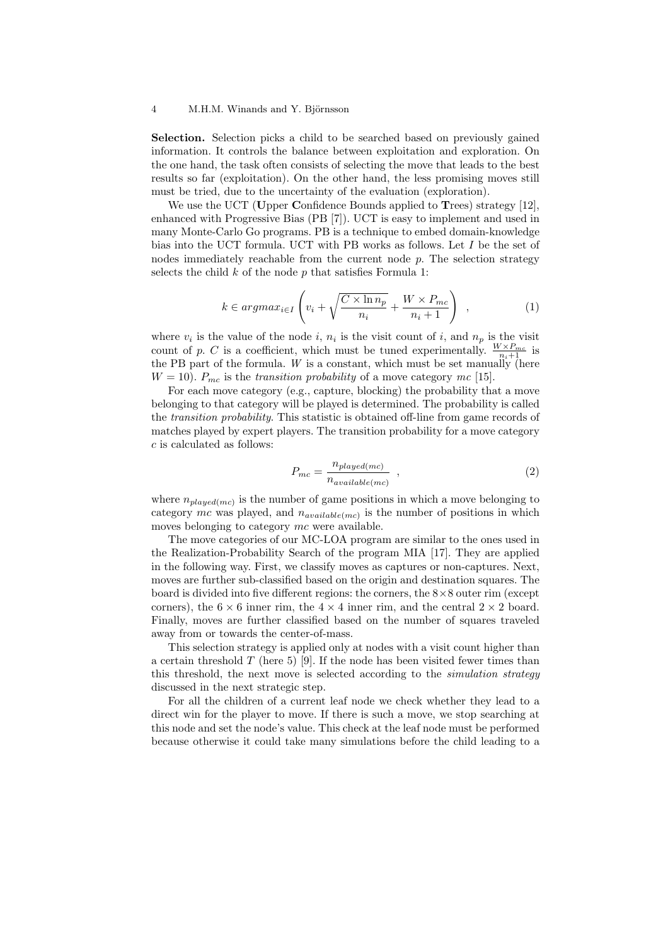Selection. Selection picks a child to be searched based on previously gained information. It controls the balance between exploitation and exploration. On the one hand, the task often consists of selecting the move that leads to the best results so far (exploitation). On the other hand, the less promising moves still must be tried, due to the uncertainty of the evaluation (exploration).

We use the UCT (Upper Confidence Bounds applied to Trees) strategy [12], enhanced with Progressive Bias (PB [7]). UCT is easy to implement and used in many Monte-Carlo Go programs. PB is a technique to embed domain-knowledge bias into the UCT formula. UCT with PB works as follows. Let I be the set of nodes immediately reachable from the current node  $p$ . The selection strategy selects the child  $k$  of the node  $p$  that satisfies Formula 1:

$$
k \in argmax_{i \in I} \left( v_i + \sqrt{\frac{C \times \ln n_p}{n_i}} + \frac{W \times P_{mc}}{n_i + 1} \right) , \qquad (1)
$$

where  $v_i$  is the value of the node i,  $n_i$  is the visit count of i, and  $n_p$  is the visit count of p. C is a coefficient, which must be tuned experimentally.  $\frac{W \times P_{mc}}{n_i+1}$  is the PB part of the formula. W is a constant, which must be set manually (here  $W = 10$ ).  $P_{mc}$  is the transition probability of a move category mc [15].

For each move category (e.g., capture, blocking) the probability that a move belonging to that category will be played is determined. The probability is called the transition probability. This statistic is obtained off-line from game records of matches played by expert players. The transition probability for a move category c is calculated as follows:

$$
P_{mc} = \frac{n_{played(mc)}}{n_{available(mc)}}
$$
, (2)

where  $n_{played(mc)}$  is the number of game positions in which a move belonging to category mc was played, and  $n_{available(mc)}$  is the number of positions in which moves belonging to category mc were available.

The move categories of our MC-LOA program are similar to the ones used in the Realization-Probability Search of the program MIA [17]. They are applied in the following way. First, we classify moves as captures or non-captures. Next, moves are further sub-classified based on the origin and destination squares. The board is divided into five different regions: the corners, the  $8\times 8$  outer rim (except corners), the  $6 \times 6$  inner rim, the  $4 \times 4$  inner rim, and the central  $2 \times 2$  board. Finally, moves are further classified based on the number of squares traveled away from or towards the center-of-mass.

This selection strategy is applied only at nodes with a visit count higher than a certain threshold  $T$  (here 5) [9]. If the node has been visited fewer times than this threshold, the next move is selected according to the simulation strategy discussed in the next strategic step.

For all the children of a current leaf node we check whether they lead to a direct win for the player to move. If there is such a move, we stop searching at this node and set the node's value. This check at the leaf node must be performed because otherwise it could take many simulations before the child leading to a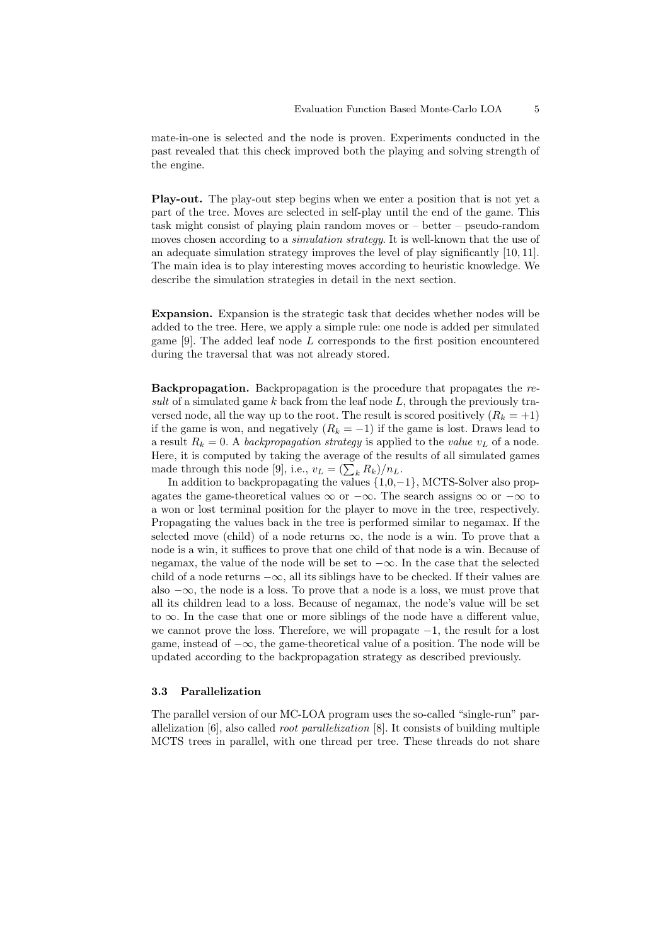mate-in-one is selected and the node is proven. Experiments conducted in the past revealed that this check improved both the playing and solving strength of the engine.

Play-out. The play-out step begins when we enter a position that is not yet a part of the tree. Moves are selected in self-play until the end of the game. This task might consist of playing plain random moves or – better – pseudo-random moves chosen according to a *simulation strategy*. It is well-known that the use of an adequate simulation strategy improves the level of play significantly [10, 11]. The main idea is to play interesting moves according to heuristic knowledge. We describe the simulation strategies in detail in the next section.

Expansion. Expansion is the strategic task that decides whether nodes will be added to the tree. Here, we apply a simple rule: one node is added per simulated game [9]. The added leaf node L corresponds to the first position encountered during the traversal that was not already stored.

Backpropagation. Backpropagation is the procedure that propagates the result of a simulated game  $k$  back from the leaf node  $L$ , through the previously traversed node, all the way up to the root. The result is scored positively  $(R_k = +1)$ if the game is won, and negatively  $(R_k = -1)$  if the game is lost. Draws lead to a result  $R_k = 0$ . A backpropagation strategy is applied to the value  $v_L$  of a node. Here, it is computed by taking the average of the results of all simulated games mere, it is computed by taking the average of the remade through this node [9], i.e.,  $v_L = (\sum_k R_k)/n_L$ .

In addition to backpropagating the values {1,0,−1}, MCTS-Solver also propagates the game-theoretical values  $\infty$  or  $-\infty$ . The search assigns  $\infty$  or  $-\infty$  to a won or lost terminal position for the player to move in the tree, respectively. Propagating the values back in the tree is performed similar to negamax. If the selected move (child) of a node returns  $\infty$ , the node is a win. To prove that a node is a win, it suffices to prove that one child of that node is a win. Because of negamax, the value of the node will be set to  $-\infty$ . In the case that the selected child of a node returns  $-\infty$ , all its siblings have to be checked. If their values are also  $-\infty$ , the node is a loss. To prove that a node is a loss, we must prove that all its children lead to a loss. Because of negamax, the node's value will be set to ∞. In the case that one or more siblings of the node have a different value, we cannot prove the loss. Therefore, we will propagate  $-1$ , the result for a lost game, instead of  $-\infty$ , the game-theoretical value of a position. The node will be updated according to the backpropagation strategy as described previously.

### 3.3 Parallelization

The parallel version of our MC-LOA program uses the so-called "single-run" parallelization [6], also called root parallelization [8]. It consists of building multiple MCTS trees in parallel, with one thread per tree. These threads do not share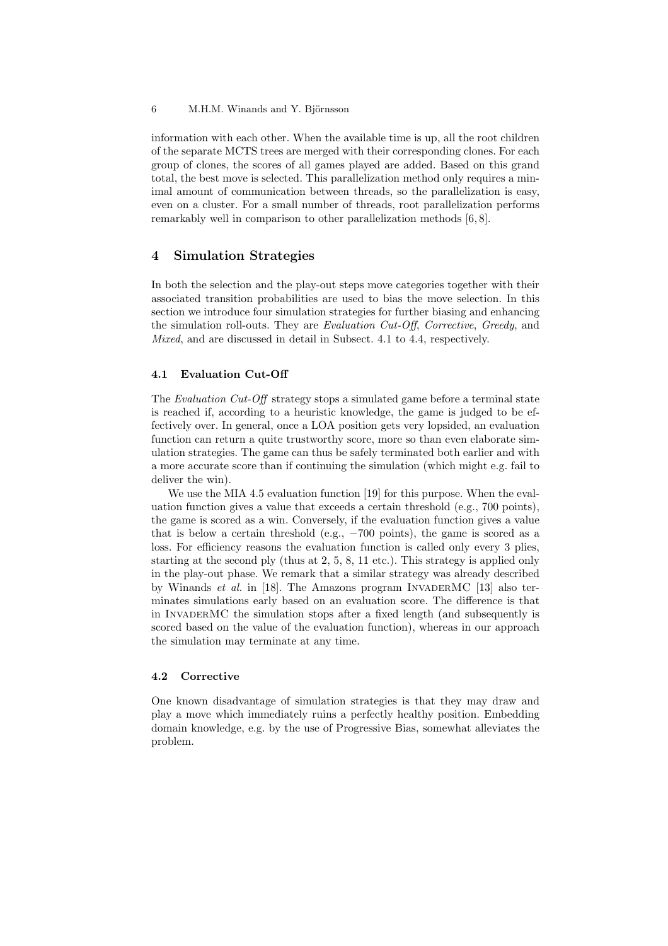information with each other. When the available time is up, all the root children of the separate MCTS trees are merged with their corresponding clones. For each group of clones, the scores of all games played are added. Based on this grand total, the best move is selected. This parallelization method only requires a minimal amount of communication between threads, so the parallelization is easy, even on a cluster. For a small number of threads, root parallelization performs remarkably well in comparison to other parallelization methods [6, 8].

# 4 Simulation Strategies

In both the selection and the play-out steps move categories together with their associated transition probabilities are used to bias the move selection. In this section we introduce four simulation strategies for further biasing and enhancing the simulation roll-outs. They are Evaluation Cut-Off, Corrective, Greedy, and Mixed, and are discussed in detail in Subsect. 4.1 to 4.4, respectively.

### 4.1 Evaluation Cut-Off

The Evaluation Cut-Off strategy stops a simulated game before a terminal state is reached if, according to a heuristic knowledge, the game is judged to be effectively over. In general, once a LOA position gets very lopsided, an evaluation function can return a quite trustworthy score, more so than even elaborate simulation strategies. The game can thus be safely terminated both earlier and with a more accurate score than if continuing the simulation (which might e.g. fail to deliver the win).

We use the MIA 4.5 evaluation function [19] for this purpose. When the evaluation function gives a value that exceeds a certain threshold (e.g., 700 points), the game is scored as a win. Conversely, if the evaluation function gives a value that is below a certain threshold (e.g.,  $-700$  points), the game is scored as a loss. For efficiency reasons the evaluation function is called only every 3 plies, starting at the second ply (thus at 2, 5, 8, 11 etc.). This strategy is applied only in the play-out phase. We remark that a similar strategy was already described by Winands et al. in [18]. The Amazons program INVADERMC [13] also terminates simulations early based on an evaluation score. The difference is that in InvaderMC the simulation stops after a fixed length (and subsequently is scored based on the value of the evaluation function), whereas in our approach the simulation may terminate at any time.

#### 4.2 Corrective

One known disadvantage of simulation strategies is that they may draw and play a move which immediately ruins a perfectly healthy position. Embedding domain knowledge, e.g. by the use of Progressive Bias, somewhat alleviates the problem.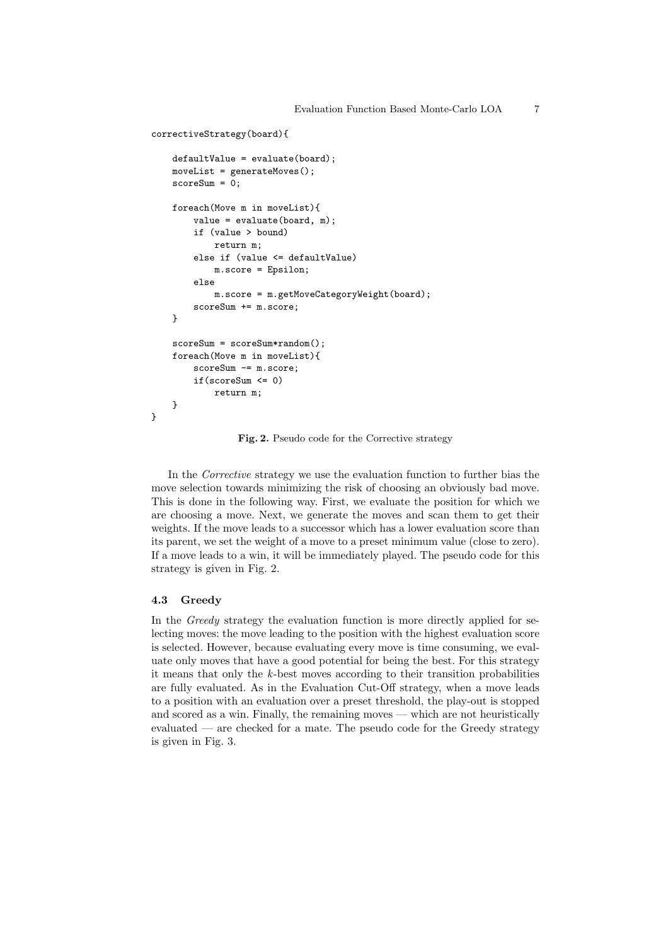```
correctiveStrategy(board){
    defaultValue = evaluate(board);
    moveList = generateMoves();
    scoreSum = 0;
    foreach(Move m in moveList){
        value = evaluate(board, m);
        if (value > bound)
            return m;
        else if (value <= defaultValue)
            m.score = Epsilon;
        else
            m.score = m.getMoveCategoryWeight(board);
        scoreSum += m.score;
    }
    scoreSum = scoreSum*random();
    foreach(Move m in moveList){
        scoreSum -= m.score;
        if(scoreSum <= 0)
            return m;
    }
}
```
Fig. 2. Pseudo code for the Corrective strategy

In the Corrective strategy we use the evaluation function to further bias the move selection towards minimizing the risk of choosing an obviously bad move. This is done in the following way. First, we evaluate the position for which we are choosing a move. Next, we generate the moves and scan them to get their weights. If the move leads to a successor which has a lower evaluation score than its parent, we set the weight of a move to a preset minimum value (close to zero). If a move leads to a win, it will be immediately played. The pseudo code for this strategy is given in Fig. 2.

### 4.3 Greedy

In the Greedy strategy the evaluation function is more directly applied for selecting moves: the move leading to the position with the highest evaluation score is selected. However, because evaluating every move is time consuming, we evaluate only moves that have a good potential for being the best. For this strategy it means that only the k-best moves according to their transition probabilities are fully evaluated. As in the Evaluation Cut-Off strategy, when a move leads to a position with an evaluation over a preset threshold, the play-out is stopped and scored as a win. Finally, the remaining moves — which are not heuristically evaluated — are checked for a mate. The pseudo code for the Greedy strategy is given in Fig. 3.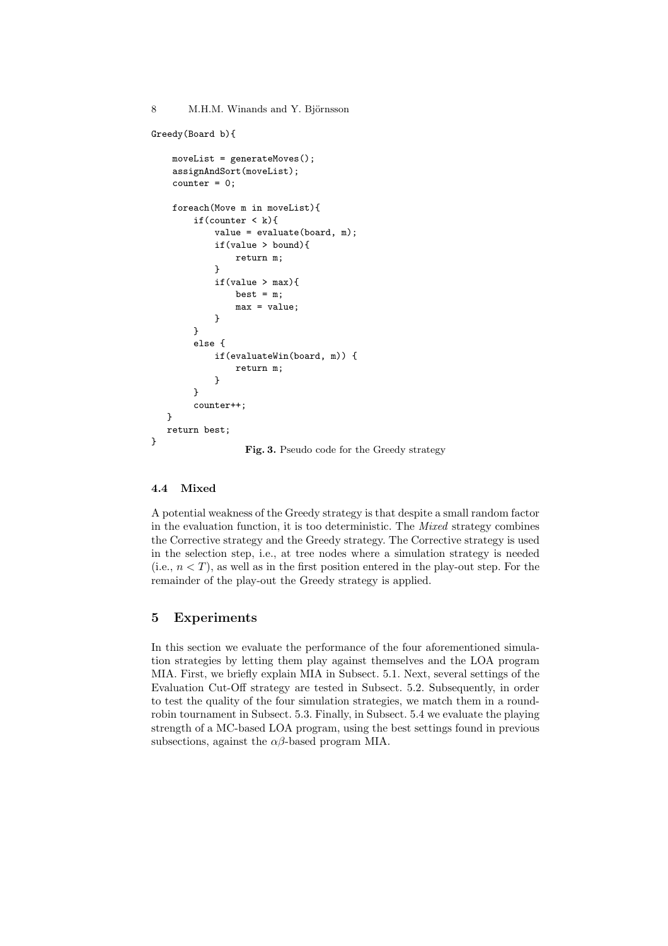```
Greedy(Board b){
    moveList = generateMoves();
    assignAndSort(moveList);
    counter = 0;foreach(Move m in moveList){
        if(counter \langle k \rangle{
             value = evaluate(board, m);
             if(value > bound){
                 return m;
             ๋ ጌ
             if(value > max)best = m;
                 max = value;}
        }
        else {
             if(evaluateWin(board, m)) {
                 return m;
             }
        }
        counter++;
   }
   return best;
}
                   Fig. 3. Pseudo code for the Greedy strategy
```
### 4.4 Mixed

A potential weakness of the Greedy strategy is that despite a small random factor in the evaluation function, it is too deterministic. The Mixed strategy combines the Corrective strategy and the Greedy strategy. The Corrective strategy is used in the selection step, i.e., at tree nodes where a simulation strategy is needed (i.e.,  $n < T$ ), as well as in the first position entered in the play-out step. For the remainder of the play-out the Greedy strategy is applied.

# 5 Experiments

In this section we evaluate the performance of the four aforementioned simulation strategies by letting them play against themselves and the LOA program MIA. First, we briefly explain MIA in Subsect. 5.1. Next, several settings of the Evaluation Cut-Off strategy are tested in Subsect. 5.2. Subsequently, in order to test the quality of the four simulation strategies, we match them in a roundrobin tournament in Subsect. 5.3. Finally, in Subsect. 5.4 we evaluate the playing strength of a MC-based LOA program, using the best settings found in previous subsections, against the  $\alpha\beta$ -based program MIA.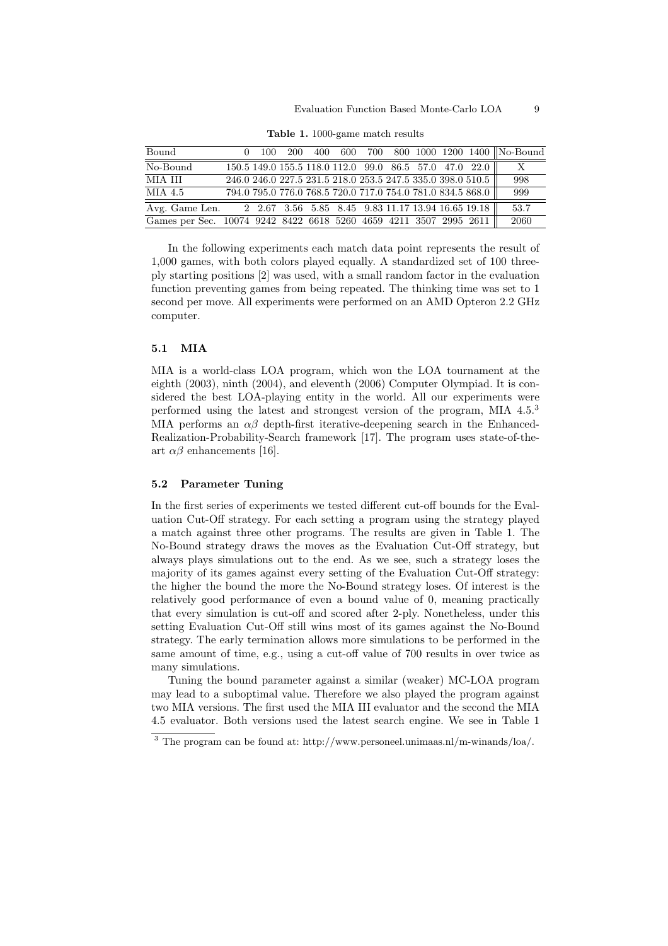### Evaluation Function Based Monte-Carlo LOA 9

| Bound                                                             | 100 | 200 | 400 |  |  |                                                                     | 600 700 800 1000 1200 1400 No-Bound |
|-------------------------------------------------------------------|-----|-----|-----|--|--|---------------------------------------------------------------------|-------------------------------------|
| No-Bound                                                          |     |     |     |  |  | $\overline{150.5}$ 149.0 155.5 118.0 112.0 99.0 86.5 57.0 47.0 22.0 | Х                                   |
| MIA III                                                           |     |     |     |  |  | 246.0 246.0 227.5 231.5 218.0 253.5 247.5 335.0 398.0 510.5         | 998                                 |
| MIA 4.5                                                           |     |     |     |  |  | 794.0 795.0 776.0 768.5 720.0 717.0 754.0 781.0 834.5 868.0         | 999                                 |
| Avg. Game Len. 2 2.67 3.56 5.85 8.45 9.83 11.17 13.94 16.65 19.18 |     |     |     |  |  |                                                                     | 53.7                                |
| Games per Sec. 10074 9242 8422 6618 5260 4659 4211 3507 2995 2611 |     |     |     |  |  |                                                                     | 2060                                |

Table 1. 1000-game match results

In the following experiments each match data point represents the result of 1,000 games, with both colors played equally. A standardized set of 100 threeply starting positions [2] was used, with a small random factor in the evaluation function preventing games from being repeated. The thinking time was set to 1 second per move. All experiments were performed on an AMD Opteron 2.2 GHz computer.

### 5.1 MIA

MIA is a world-class LOA program, which won the LOA tournament at the eighth (2003), ninth (2004), and eleventh (2006) Computer Olympiad. It is considered the best LOA-playing entity in the world. All our experiments were performed using the latest and strongest version of the program, MIA 4.5.<sup>3</sup> MIA performs an  $\alpha\beta$  depth-first iterative-deepening search in the Enhanced-Realization-Probability-Search framework [17]. The program uses state-of-theart  $\alpha\beta$  enhancements [16].

### 5.2 Parameter Tuning

In the first series of experiments we tested different cut-off bounds for the Evaluation Cut-Off strategy. For each setting a program using the strategy played a match against three other programs. The results are given in Table 1. The No-Bound strategy draws the moves as the Evaluation Cut-Off strategy, but always plays simulations out to the end. As we see, such a strategy loses the majority of its games against every setting of the Evaluation Cut-Off strategy: the higher the bound the more the No-Bound strategy loses. Of interest is the relatively good performance of even a bound value of 0, meaning practically that every simulation is cut-off and scored after 2-ply. Nonetheless, under this setting Evaluation Cut-Off still wins most of its games against the No-Bound strategy. The early termination allows more simulations to be performed in the same amount of time, e.g., using a cut-off value of 700 results in over twice as many simulations.

Tuning the bound parameter against a similar (weaker) MC-LOA program may lead to a suboptimal value. Therefore we also played the program against two MIA versions. The first used the MIA III evaluator and the second the MIA 4.5 evaluator. Both versions used the latest search engine. We see in Table 1

 $3$  The program can be found at: http://www.personeel.unimaas.nl/m-winands/loa/.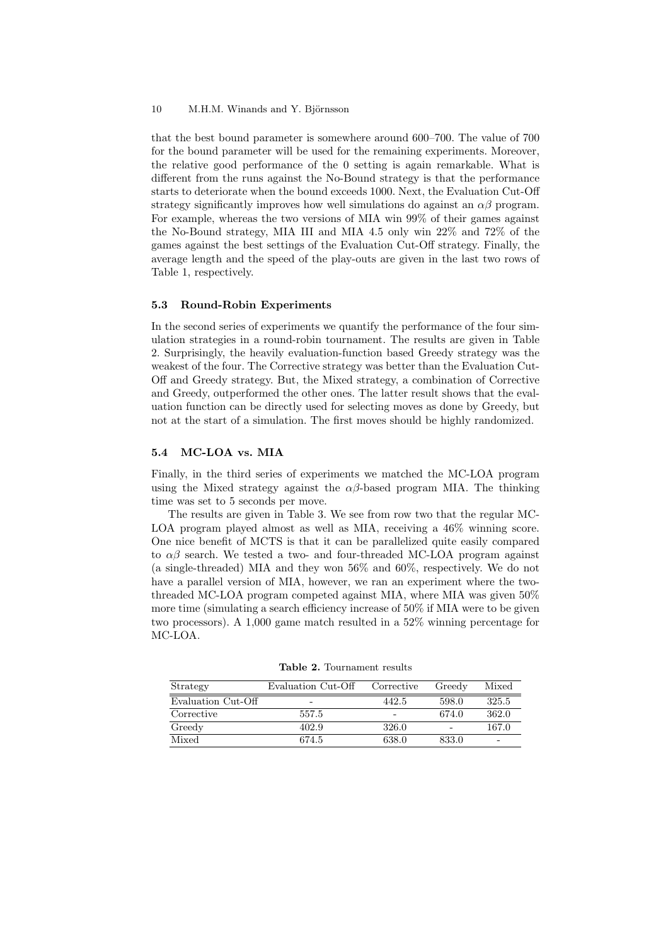that the best bound parameter is somewhere around 600–700. The value of 700 for the bound parameter will be used for the remaining experiments. Moreover, the relative good performance of the 0 setting is again remarkable. What is different from the runs against the No-Bound strategy is that the performance starts to deteriorate when the bound exceeds 1000. Next, the Evaluation Cut-Off strategy significantly improves how well simulations do against an  $\alpha\beta$  program. For example, whereas the two versions of MIA win 99% of their games against the No-Bound strategy, MIA III and MIA 4.5 only win 22% and 72% of the games against the best settings of the Evaluation Cut-Off strategy. Finally, the average length and the speed of the play-outs are given in the last two rows of Table 1, respectively.

#### 5.3 Round-Robin Experiments

In the second series of experiments we quantify the performance of the four simulation strategies in a round-robin tournament. The results are given in Table 2. Surprisingly, the heavily evaluation-function based Greedy strategy was the weakest of the four. The Corrective strategy was better than the Evaluation Cut-Off and Greedy strategy. But, the Mixed strategy, a combination of Corrective and Greedy, outperformed the other ones. The latter result shows that the evaluation function can be directly used for selecting moves as done by Greedy, but not at the start of a simulation. The first moves should be highly randomized.

### 5.4 MC-LOA vs. MIA

Finally, in the third series of experiments we matched the MC-LOA program using the Mixed strategy against the  $\alpha\beta$ -based program MIA. The thinking time was set to 5 seconds per move.

The results are given in Table 3. We see from row two that the regular MC-LOA program played almost as well as MIA, receiving a  $46\%$  winning score. One nice benefit of MCTS is that it can be parallelized quite easily compared to  $\alpha\beta$  search. We tested a two- and four-threaded MC-LOA program against (a single-threaded) MIA and they won 56% and 60%, respectively. We do not have a parallel version of MIA, however, we ran an experiment where the twothreaded MC-LOA program competed against MIA, where MIA was given 50% more time (simulating a search efficiency increase of 50% if MIA were to be given two processors). A 1,000 game match resulted in a 52% winning percentage for MC-LOA.

| Strategy           | Evaluation Cut-Off | Corrective | Greedy                   | Mixed                    |
|--------------------|--------------------|------------|--------------------------|--------------------------|
| Evaluation Cut-Off | -                  | 442.5      | 598.0                    | 325.5                    |
| Corrective         | 557.5              |            | 674.0                    | 362.0                    |
| Greedy             | 402.9              | 326.0      | $\overline{\phantom{0}}$ | 167.0                    |
| Mixed              | 674.5              | 638.0      | 833.0                    | $\overline{\phantom{0}}$ |

Table 2. Tournament results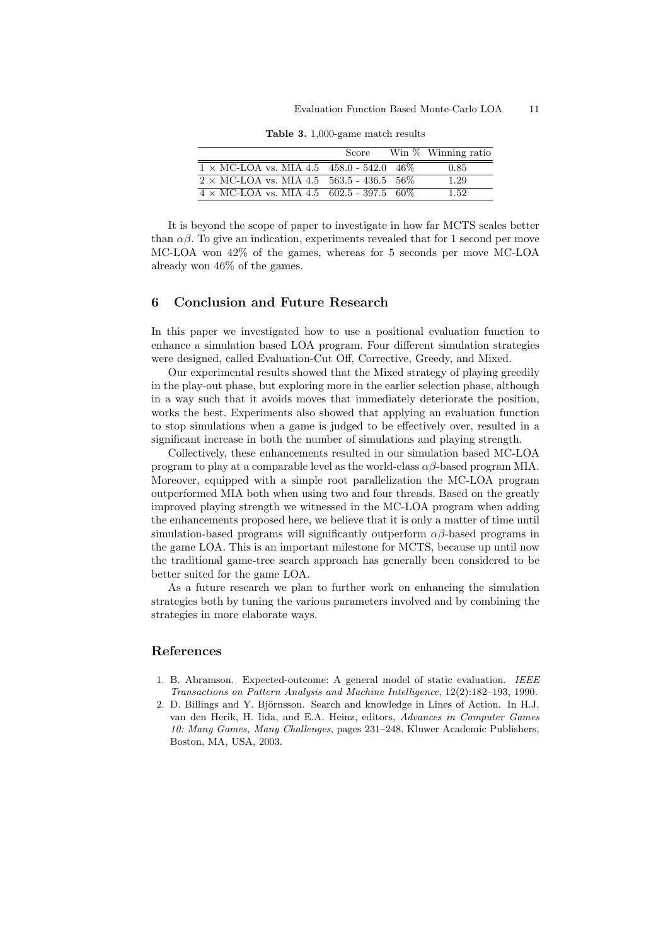Table 3. 1,000-game match results

|                                                  | Score | Win $\%$ Winning ratio |
|--------------------------------------------------|-------|------------------------|
| $1 \times$ MC-LOA vs. MIA 4.5 458.0 - 542.0 46\% |       | 0.85                   |
| $2 \times$ MC-LOA vs. MIA 4.5 563.5 - 436.5 56%  |       | 1.29                   |
| $4 \times$ MC-LOA vs. MIA 4.5 602.5 - 397.5 60%  |       | 1.52                   |

It is beyond the scope of paper to investigate in how far MCTS scales better than  $\alpha\beta$ . To give an indication, experiments revealed that for 1 second per move MC-LOA won 42% of the games, whereas for 5 seconds per move MC-LOA already won 46% of the games.

### 6 Conclusion and Future Research

In this paper we investigated how to use a positional evaluation function to enhance a simulation based LOA program. Four different simulation strategies were designed, called Evaluation-Cut Off, Corrective, Greedy, and Mixed.

Our experimental results showed that the Mixed strategy of playing greedily in the play-out phase, but exploring more in the earlier selection phase, although in a way such that it avoids moves that immediately deteriorate the position, works the best. Experiments also showed that applying an evaluation function to stop simulations when a game is judged to be effectively over, resulted in a significant increase in both the number of simulations and playing strength.

Collectively, these enhancements resulted in our simulation based MC-LOA program to play at a comparable level as the world-class  $\alpha\beta$ -based program MIA. Moreover, equipped with a simple root parallelization the MC-LOA program outperformed MIA both when using two and four threads. Based on the greatly improved playing strength we witnessed in the MC-LOA program when adding the enhancements proposed here, we believe that it is only a matter of time until simulation-based programs will significantly outperform  $\alpha\beta$ -based programs in the game LOA. This is an important milestone for MCTS, because up until now the traditional game-tree search approach has generally been considered to be better suited for the game LOA.

As a future research we plan to further work on enhancing the simulation strategies both by tuning the various parameters involved and by combining the strategies in more elaborate ways.

# References

- 1. B. Abramson. Expected-outcome: A general model of static evaluation. IEEE Transactions on Pattern Analysis and Machine Intelligence, 12(2):182–193, 1990.
- 2. D. Billings and Y. Björnsson. Search and knowledge in Lines of Action. In H.J. van den Herik, H. Iida, and E.A. Heinz, editors, Advances in Computer Games 10: Many Games, Many Challenges, pages 231–248. Kluwer Academic Publishers, Boston, MA, USA, 2003.